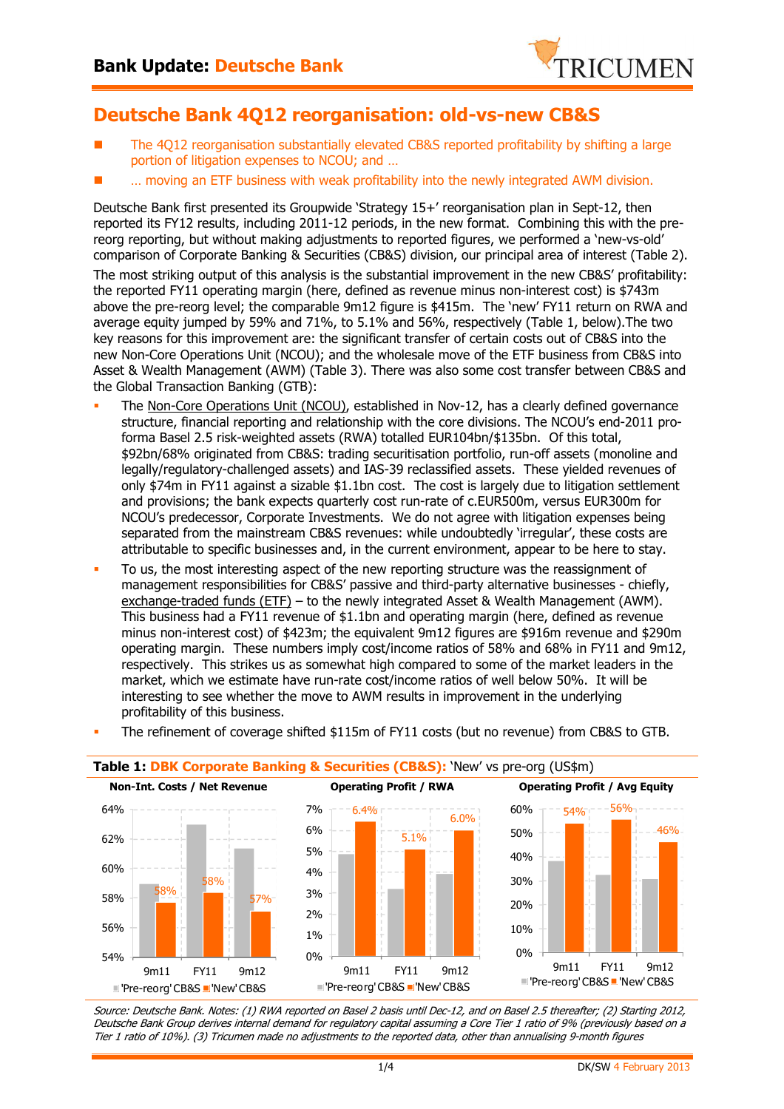

# **Deutsche Bank 4Q12 reorganisation: old-vs-new CB&S**

- The 4Q12 reorganisation substantially elevated CB&S reported profitability by shifting a large portion of litigation expenses to NCOU; and …
- … moving an ETF business with weak profitability into the newly integrated AWM division.

Deutsche Bank first presented its Groupwide 'Strategy 15+' reorganisation plan in Sept-12, then reported its FY12 results, including 2011-12 periods, in the new format. Combining this with the prereorg reporting, but without making adjustments to reported figures, we performed a 'new-vs-old' comparison of Corporate Banking & Securities (CB&S) division, our principal area of interest (Table 2).

The most striking output of this analysis is the substantial improvement in the new CB&S' profitability: the reported FY11 operating margin (here, defined as revenue minus non-interest cost) is \$743m above the pre-reorg level; the comparable 9m12 figure is \$415m. The 'new' FY11 return on RWA and average equity jumped by 59% and 71%, to 5.1% and 56%, respectively (Table 1, below).The two key reasons for this improvement are: the significant transfer of certain costs out of CB&S into the new Non-Core Operations Unit (NCOU); and the wholesale move of the ETF business from CB&S into Asset & Wealth Management (AWM) (Table 3). There was also some cost transfer between CB&S and the Global Transaction Banking (GTB):

- - The Non-Core Operations Unit (NCOU), established in Nov-12, has a clearly defined governance structure, financial reporting and relationship with the core divisions. The NCOU's end-2011 proforma Basel 2.5 risk-weighted assets (RWA) totalled EUR104bn/\$135bn. Of this total, \$92bn/68% originated from CB&S: trading securitisation portfolio, run-off assets (monoline and legally/regulatory-challenged assets) and IAS-39 reclassified assets. These yielded revenues of only \$74m in FY11 against a sizable \$1.1bn cost. The cost is largely due to litigation settlement and provisions; the bank expects quarterly cost run-rate of c.EUR500m, versus EUR300m for NCOU's predecessor, Corporate Investments. We do not agree with litigation expenses being separated from the mainstream CB&S revenues: while undoubtedly 'irregular', these costs are attributable to specific businesses and, in the current environment, appear to be here to stay.
- - To us, the most interesting aspect of the new reporting structure was the reassignment of management responsibilities for CB&S' passive and third-party alternative businesses - chiefly, exchange-traded funds (ETF) – to the newly integrated Asset & Wealth Management (AWM). This business had a FY11 revenue of \$1.1bn and operating margin (here, defined as revenue minus non-interest cost) of \$423m; the equivalent 9m12 figures are \$916m revenue and \$290m operating margin. These numbers imply cost/income ratios of 58% and 68% in FY11 and 9m12, respectively. This strikes us as somewhat high compared to some of the market leaders in the market, which we estimate have run-rate cost/income ratios of well below 50%. It will be interesting to see whether the move to AWM results in improvement in the underlying profitability of this business.



#### -The refinement of coverage shifted \$115m of FY11 costs (but no revenue) from CB&S to GTB.

Source: Deutsche Bank. Notes: (1) RWA reported on Basel 2 basis until Dec-12, and on Basel 2.5 thereafter; (2) Starting 2012, Deutsche Bank Group derives internal demand for regulatory capital assuming a Core Tier 1 ratio of 9% (previously based on a Tier 1 ratio of 10%). (3) Tricumen made no adjustments to the reported data, other than annualising 9-month figures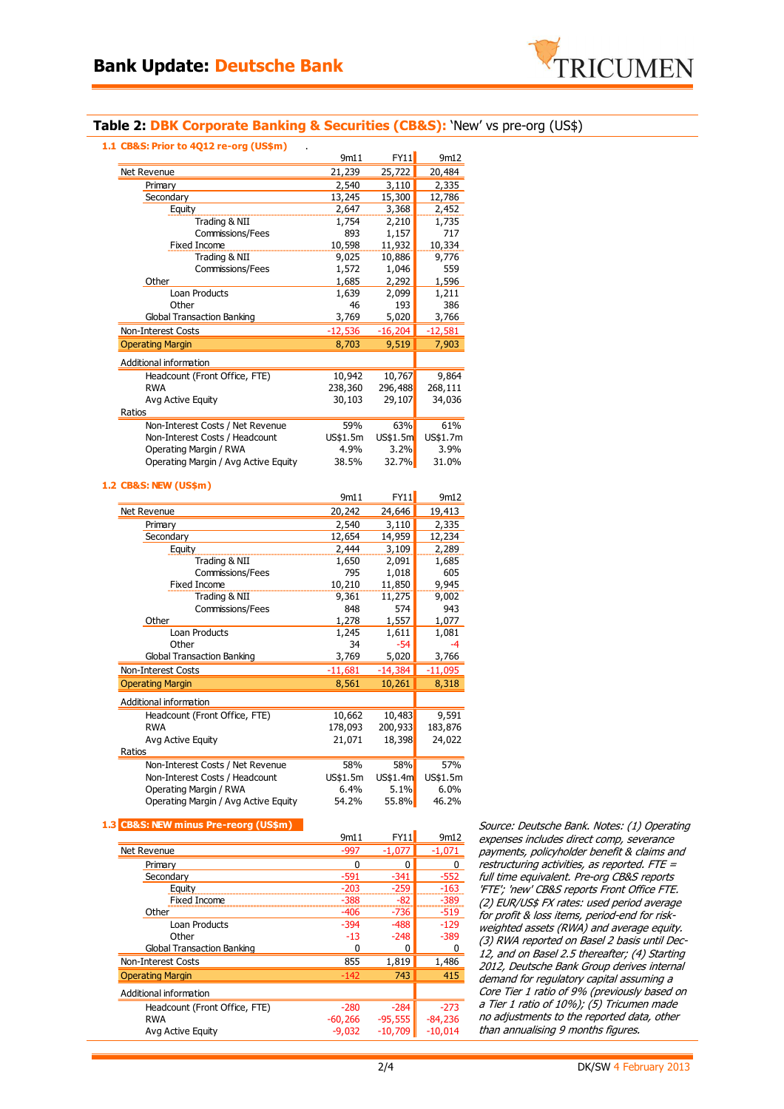

### **Table 2: DBK Corporate Banking & Securities (CB&S):** 'New' vs pre-org (US\$)

**1.1 CB&S: Prior to 4Q12 re-org (US\$m)** .

|                                      | 9m11      | FY11         | 9m12      |
|--------------------------------------|-----------|--------------|-----------|
| Net Revenue                          | 21,239    | 25,722       | 20,484    |
| Primary                              | 2,540     | 3,110        | 2,335     |
| Secondary                            | 13,245    | 15,300       | 12,786    |
| Equity                               | 2,647     | 3,368        | 2,452     |
| Trading & NII                        | 1,754     | 2,210        | 1,735     |
| <b>Commissions/Fees</b>              | 893       | 1,157        | 717       |
| Fixed Income                         | 10,598    | 11,932       | 10,334    |
| Trading & NII                        | 9,025     | 10,886       | 9,776     |
| <b>Commissions/Fees</b>              | 1,572     | 1,046        | 559       |
| Other                                | 1,685     | 2,292        | 1,596     |
| Loan Products                        | 1,639     | 2,099        | 1,211     |
| Other                                | 46        | 193          | 386       |
| <b>Global Transaction Banking</b>    | 3,769     | 5,020        | 3,766     |
| Non-Interest Costs                   | $-12,536$ | $-16,204$    | $-12,581$ |
| <b>Operating Margin</b>              | 8,703     | 9,519        | 7,903     |
| Additional information               |           |              |           |
| Headcount (Front Office, FTE)        | 10,942    | 10,767       | 9,864     |
| RWA                                  | 238,360   | 296,488      | 268,111   |
| Avg Active Equity                    | 30,103    | 29,107       | 34,036    |
| Ratios                               |           |              |           |
| Non-Interest Costs / Net Revenue     | 59%       | 63%          | 61%       |
| Non-Interest Costs / Headcount       | US\$1.5m  | US\$1.5m     | US\$1.7m  |
| Operating Margin / RWA               | 4.9%      | 3.2%         | 3.9%      |
| Operating Margin / Avg Active Equity | 38.5%     | <b>32.7%</b> | 31.0%     |
|                                      |           |              |           |

#### **1.2 CB&S: NEW (US\$m)**

|                                      | 9m11      | FY11      | 9m12      |
|--------------------------------------|-----------|-----------|-----------|
| Net Revenue                          | 20,242    | 24,646    | 19,413    |
| Primary                              | 2,540     | 3,110     | 2,335     |
| Secondary                            | 12,654    | 14,959    | 12,234    |
| Equity                               | 2,444     | 3,109     | 2,289     |
| Trading & NII                        | 1,650     | 2,091     | 1,685     |
| Commissions/Fees                     | 795       | 1,018     | 605       |
| <b>Fixed Income</b>                  | 10,210    | 11,850    | 9,945     |
| Trading & NII                        | 9,361     | 11,275    | 9,002     |
| Commissions/Fees                     | 848       | 574       | 943       |
| Other                                | 1,278     | 1,557     | 1,077     |
| Loan Products                        | 1,245     | 1,611     | 1,081     |
| Other                                | 34        | $-54$     | -4        |
| <b>Global Transaction Banking</b>    | 3,769     | 5,020     | 3,766     |
| Non-Interest Costs                   | $-11,681$ | $-14,384$ | $-11,095$ |
| <b>Operating Margin</b>              | 8,561     | 10,261    | 8,318     |
| Additional information               |           |           |           |
| Headcount (Front Office, FTE)        | 10,662    | 10,483    | 9,591     |
| <b>RWA</b>                           | 178,093   | 200,933   | 183,876   |
| Avg Active Equity                    | 21,071    | 18,398    | 24,022    |
| Ratios                               |           |           |           |
| Non-Interest Costs / Net Revenue     | 58%       | 58%       | 57%       |
| Non-Interest Costs / Headcount       | US\$1.5m  | US\$1.4m  | US\$1.5m  |
| Operating Margin / RWA               | 6.4%      | 5.1%      | 6.0%      |
| Operating Margin / Avg Active Equity | 54.2%     | 55.8%     | 46.2%     |

### **1.3 CB&S: NEW minus Pre-reorg (US\$m)**

|                                   | 9m11      | FY11      | 9m12      |
|-----------------------------------|-----------|-----------|-----------|
| Net Revenue                       | $-997$    | $-1,077$  | $-1,071$  |
| Primary                           | 0         | 0         |           |
| Secondary                         | $-591$    | $-341$    | $-552$    |
| Equity                            | $-203$    | $-259$    | $-163$    |
| <b>Fixed Income</b>               | $-388$    | $-82$     | $-389$    |
| Other                             | $-406$    | -736      | $-519$    |
| Loan Products                     | $-394$    | -488      | $-129$    |
| Other                             | $-13$     | $-248$    | $-389$    |
| <b>Global Transaction Banking</b> | o         | 0         |           |
| Non-Interest Costs                | 855       | 1,819     | 1,486     |
| <b>Operating Margin</b>           | $-142$    | 743       | 415       |
| Additional information            |           |           |           |
| Headcount (Front Office, FTE)     | $-280$    | $-284$    | $-273$    |
| <b>RWA</b>                        | $-60,266$ | $-95,555$ | $-84,236$ |
| Avg Active Equity                 | $-9.032$  | $-10,709$ | $-10.014$ |

Source: Deutsche Bank. Notes: (1) Operating expenses includes direct comp, severance payments, policyholder benefit & claims and restructuring activities, as reported. FTE = full time equivalent. Pre-org CB&S reports 'FTE'; 'new' CB&S reports Front Office FTE. (2) EUR/US\$ FX rates: used period average for profit & loss items, period-end for riskweighted assets (RWA) and average equity. (3) RWA reported on Basel 2 basis until Dec-12, and on Basel 2.5 thereafter; (4) Starting 2012, Deutsche Bank Group derives internal demand for regulatory capital assuming a Core Tier 1 ratio of 9% (previously based on a Tier 1 ratio of 10%); (5) Tricumen made no adjustments to the reported data, other than annualising 9 months figures.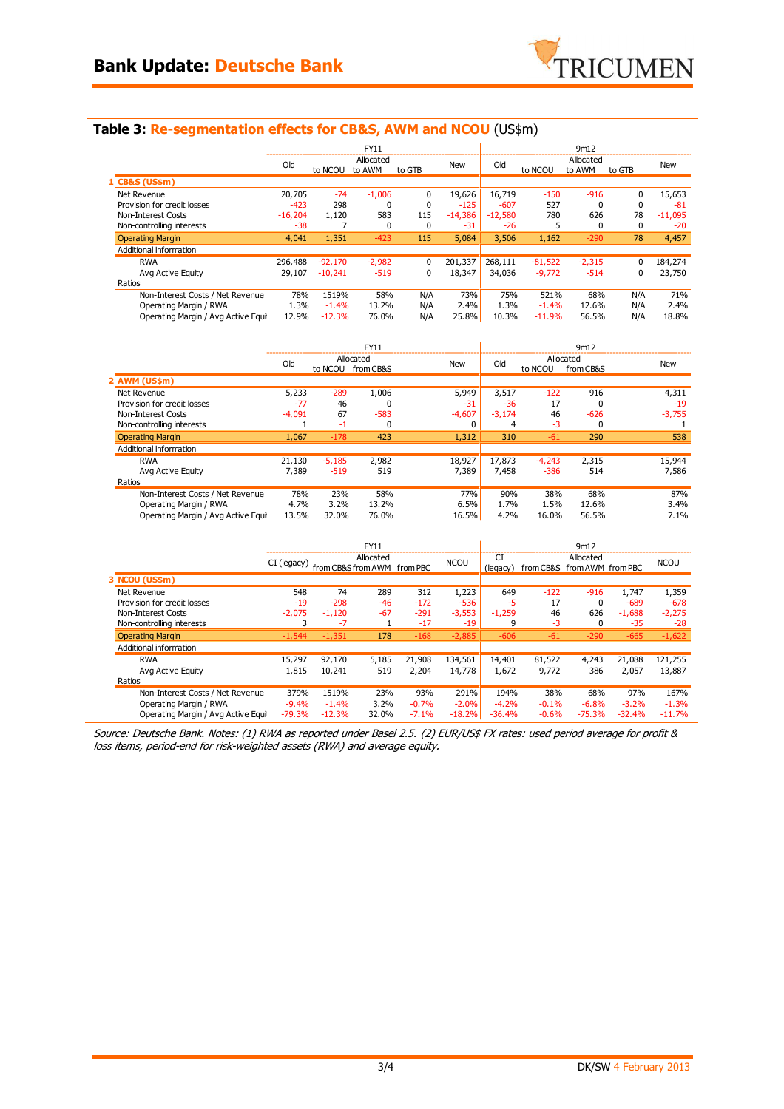

## **Table 3: Re-segmentation effects for CB&S, AWM and NCOU** (US\$m)

| <b>FY11</b>                        |           |           |                     |          | 9m12       |           |           |                     |        |           |
|------------------------------------|-----------|-----------|---------------------|----------|------------|-----------|-----------|---------------------|--------|-----------|
|                                    | Old       | to NCOU   | Allocated<br>to AWM | to GTB   | <b>New</b> | Old       | to NCOU   | Allocated<br>to AWM | to GTB | New       |
| 1 CB&S (US\$m)                     |           |           |                     |          |            |           |           |                     |        |           |
| Net Revenue                        | 20,705    | $-74$     | $-1.006$            | 0        | 19,626     | 16,719    | $-150$    | $-916$              | 0      | 15,653    |
| Provision for credit losses        | $-423$    | 298       | $\Omega$            | $\Omega$ | $-125$     | $-607$    | 527       | $\Omega$            | 0      | $-81$     |
| Non-Interest Costs                 | $-16,204$ | 1,120     | 583                 | 115      | $-14,386$  | $-12,580$ | 780       | 626                 | 78     | $-11,095$ |
| Non-controlling interests          | $-38$     |           | $\Omega$            | 0        | $-31$      | $-26$     | 5         | $\Omega$            | 0      | $-20$     |
| <b>Operating Margin</b>            | 4,041     | 1,351     | $-423$              | 115      | 5,084      | 3,506     | 1,162     | $-290$              | 78     | 4,457     |
| Additional information             |           |           |                     |          |            |           |           |                     |        |           |
| <b>RWA</b>                         | 296,488   | $-92.170$ | $-2,982$            | $\Omega$ | 201,337    | 268,111   | $-81,522$ | $-2,315$            | 0      | 184,274   |
| Avg Active Equity                  | 29,107    | $-10.241$ | $-519$              | 0        | 18,347     | 34,036    | $-9,772$  | $-514$              | 0      | 23,750    |
| Ratios                             |           |           |                     |          |            |           |           |                     |        |           |
| Non-Interest Costs / Net Revenue   | 78%       | 1519%     | 58%                 | N/A      | 73%        | 75%       | 521%      | 68%                 | N/A    | 71%       |
| Operating Margin / RWA             | 1.3%      | $-1.4%$   | 13.2%               | N/A      | 2.4%       | 1.3%      | $-1.4%$   | 12.6%               | N/A    | 2.4%      |
| Operating Margin / Avg Active Equi | 12.9%     | $-12.3%$  | 76.0%               | N/A      | 25.8%      | 10.3%     | $-11.9%$  | 56.5%               | N/A    | 18.8%     |

|                                    | FY11     |          |                        |            |          | 9m12     |                        |            |  |  |
|------------------------------------|----------|----------|------------------------|------------|----------|----------|------------------------|------------|--|--|
|                                    | Old      | to NCOU  | Allocated<br>from CB&S | <b>New</b> | Old      | to NCOU  | Allocated<br>from CB&S | <b>New</b> |  |  |
| 2 AWM (US\$m)                      |          |          |                        |            |          |          |                        |            |  |  |
| Net Revenue                        | 5,233    | $-289$   | 1,006                  | 5,949      | 3,517    | $-122$   | 916                    | 4,311      |  |  |
| Provision for credit losses        | $-77$    | 46       |                        | $-31$      | $-36$    | 17       |                        | $-19$      |  |  |
| Non-Interest Costs                 | $-4,091$ | 67       | $-583$                 | $-4,607$   | $-3,174$ | 46       | $-626$                 | $-3,755$   |  |  |
| Non-controlling interests          |          | -1       | $\Omega$               | $\Omega$   | 4        | $-3$     |                        |            |  |  |
| <b>Operating Margin</b>            | 1.067    | $-178$   | 423                    | 1,312      | 310      | $-61$    | 290                    | 538        |  |  |
| Additional information             |          |          |                        |            |          |          |                        |            |  |  |
| <b>RWA</b>                         | 21,130   | $-5,185$ | 2,982                  | 18,927     | 17,873   | $-4,243$ | 2,315                  | 15,944     |  |  |
| Avg Active Equity                  | 7.389    | $-519$   | 519                    | 7,389      | 7,458    | $-386$   | 514                    | 7,586      |  |  |
| Ratios                             |          |          |                        |            |          |          |                        |            |  |  |
| Non-Interest Costs / Net Revenue   | 78%      | 23%      | 58%                    | 77%        | 90%      | 38%      | 68%                    | 87%        |  |  |
| Operating Margin / RWA             | 4.7%     | 3.2%     | 13.2%                  | 6.5%       | 1.7%     | 1.5%     | 12.6%                  | 3.4%       |  |  |
| Operating Margin / Avg Active Equi | 13.5%    | 32.0%    | 76.0%                  | 16.5%      | 4.2%     | 16.0%    | 56.5%                  | 7.1%       |  |  |

|                                    | <b>FY11</b> |          |                                          |         | 9m12        |                |                             |           |          |             |
|------------------------------------|-------------|----------|------------------------------------------|---------|-------------|----------------|-----------------------------|-----------|----------|-------------|
|                                    | CI (legacy) |          | Allocated<br>from CB&S from AWM from PBC |         | <b>NCOU</b> | СI<br>(legacy) | from CB&S from AWM from PBC | Allocated |          | <b>NCOU</b> |
| 3 NCOU (US\$m)                     |             |          |                                          |         |             |                |                             |           |          |             |
| Net Revenue                        | 548         | 74       | 289                                      | 312     | 1,223       | 649            | $-122$                      | $-916$    | 1.747    | 1,359       |
| Provision for credit losses        | $-19$       | $-298$   | $-46$                                    | $-172$  | $-536$      | -5             | 17                          | $\Omega$  | $-689$   | $-678$      |
| Non-Interest Costs                 | $-2.075$    | $-1,120$ | $-67$                                    | $-291$  | $-3,553$    | $-1,259$       | 46                          | 626       | $-1,688$ | $-2,275$    |
| Non-controlling interests          | 3           | $-7$     |                                          | $-17$   | $-19$       | 9              | $-3$                        | 0         | $-35$    | $-28$       |
| <b>Operating Margin</b>            | $-1,544$    | $-1,351$ | 178                                      | $-168$  | $-2,885$    | $-606$         | $-61$                       | $-290$    | $-665$   | $-1,622$    |
| Additional information             |             |          |                                          |         |             |                |                             |           |          |             |
| <b>RWA</b>                         | 15,297      | 92,170   | 5,185                                    | 21,908  | 134,561     | 14,401         | 81,522                      | 4,243     | 21,088   | 121,255     |
| Avg Active Equity                  | 1,815       | 10,241   | 519                                      | 2,204   | 14,778      | 1,672          | 9,772                       | 386       | 2.057    | 13,887      |
| Ratios                             |             |          |                                          |         |             |                |                             |           |          |             |
| Non-Interest Costs / Net Revenue   | 379%        | 1519%    | 23%                                      | 93%     | 291%        | 194%           | 38%                         | 68%       | 97%      | 167%        |
| Operating Margin / RWA             | $-9.4%$     | $-1.4%$  | 3.2%                                     | $-0.7%$ | $-2.0%$     | $-4.2%$        | $-0.1%$                     | $-6.8%$   | $-3.2%$  | $-1.3%$     |
| Operating Margin / Avg Active Equi | $-79.3%$    | $-12.3%$ | 32.0%                                    | $-7.1%$ | $-18.2%$    | $-36.4%$       | $-0.6%$                     | $-75.3%$  | $-32.4%$ | $-11.7%$    |

Source: Deutsche Bank. Notes: (1) RWA as reported under Basel 2.5. (2) EUR/US\$ FX rates: used period average for profit & loss items, period-end for risk-weighted assets (RWA) and average equity.